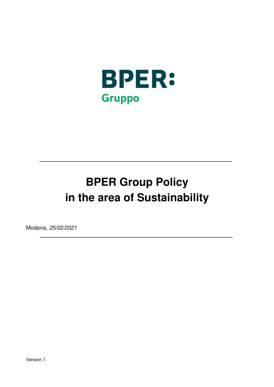

# **BPER Group Policy in the area of Sustainability**

Modena, 25/02/2021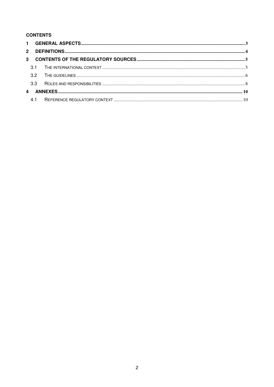# **CONTENTS**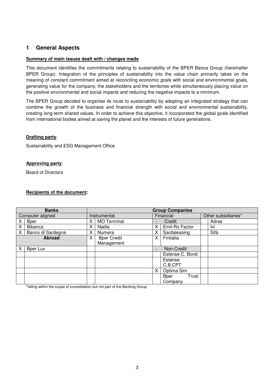# **1 General Aspects**

#### **Summary of main issues dealt with / changes made**

This document identifies the commitments relating to sustainability of the BPER Banca Group (hereinafter BPER Group). Integration of the principles of sustainability into the value chain primarily takes on the meaning of constant commitment aimed at reconciling economic goals with social and environmental goals, generating value for the company, the stakeholders and the territories while simultaneously placing value on the positive environmental and social impacts and reducing the negative impacts to a minimum.

The BPER Group decided to organise its route to sustainability by adopting an integrated strategy that can combine the growth of the business and financial strength with social and environmental sustainability, creating long-term shared values. In order to achieve this objective, it incorporated the global goals identified from international bodies aimed at saving the planet and the interests of future generations.

#### **Drafting party**:

Sustainability and ESG Management Office

## **Approving party**:

Board of Directors

#### **Recipients of the document:**

| <b>Banks</b>     |                   |              | <b>Group Companies</b> |           |                 |                     |       |  |
|------------------|-------------------|--------------|------------------------|-----------|-----------------|---------------------|-------|--|
| Computer aligned |                   | Instrumental |                        | Financial |                 | Other subsidiaries* |       |  |
|                  | <b>Bper</b>       | X.           | <b>MO</b> Terminal     |           | Credit          |                     | Adras |  |
| X                | Bibanca           | Χ            | Nadia                  | Χ         | Emil-Ro Factor  |                     | Ivi   |  |
| X                | Banco di Sardegna | х            | Numera                 | Χ         | Sardaleasing    |                     | Sifà  |  |
|                  | <b>Abroad</b>     | X            | <b>Bper Credit</b>     | X         | Finitalia       |                     |       |  |
|                  |                   |              | Management             |           |                 |                     |       |  |
|                  | Bper Lux          |              |                        |           | Non-Credit      |                     |       |  |
|                  |                   |              |                        |           | Estense C. Bond |                     |       |  |
|                  |                   |              |                        |           | Estense         |                     |       |  |
|                  |                   |              |                        |           | C.B.CPT         |                     |       |  |
|                  |                   |              |                        | X         | Optima Sim      |                     |       |  |
|                  |                   |              |                        |           | Trust<br>Bper   |                     |       |  |
|                  |                   |              |                        |           | Company         |                     |       |  |

\*falling within the scope of consolidation but not part of the Banking Group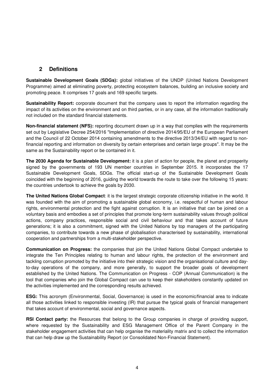# **2 Definitions**

**Sustainable Development Goals (SDGs):** global initiatives of the UNDP (United Nations Development Programme) aimed at eliminating poverty, protecting ecosystem balances, building an inclusive society and promoting peace. It comprises 17 goals and 169 specific targets.

**Sustainability Report:** corporate document that the company uses to report the information regarding the impact of its activities on the environment and on third parties, or in any case, all the information traditionally not included on the standard financial statements.

**Non-financial statement (NFS):** reporting document drawn up in a way that complies with the requirements set out by Legislative Decree 254/2016 "Implementation of directive 2014/95/EU of the European Parliament and the Council of 22 October 2014 containing amendments to the directive 2013/34/EU with regard to nonfinancial reporting and information on diversity by certain enterprises and certain large groups". It may be the same as the Sustainability report or be contained in it.

**The 2030 Agenda for Sustainable Development:** it is a plan of action for people, the planet and prosperity signed by the governments of 193 UN member countries in September 2015. It incorporates the 17 Sustainable Development Goals, SDGs. The official start-up of the Sustainable Development Goals coincided with the beginning of 2016, guiding the world towards the route to take over the following 15 years: the countries undertook to achieve the goals by 2030.

**The United Nations Global Compact**: it is the largest strategic corporate citizenship initiative in the world. It was founded with the aim of promoting a sustainable global economy, i.e. respectful of human and labour rights, environmental protection and the fight against corruption. It is an initiative that can be joined on a voluntary basis and embodies a set of principles that promote long-term sustainability values through political actions, company practices, responsible social and civil behaviour and that takes account of future generations; it is also a commitment, signed with the United Nations by top managers of the participating companies, to contribute towards a new phase of globalisation characterised by sustainability, international cooperation and partnerships from a multi-stakeholder perspective.

**Communication on Progress:** the companies that join the United Nations Global Compact undertake to integrate the Ten Principles relating to human and labour rights, the protection of the environment and tackling corruption promoted by the initiative into their strategic vision and the organisational culture and dayto-day operations of the company, and more generally, to support the broader goals of development established by the United Nations. The Communication on Progress - COP (Annual Communication) is the tool that companies who join the Global Compact can use to keep their stakeholders constantly updated on the activities implemented and the corresponding results achieved.

**ESG:** This acronym (Environmental, Social, Governance) is used in the economic/financial area to indicate all those activities linked to responsible investing (IR) that pursue the typical goals of financial management that takes account of environmental, social and governance aspects.

**RSI Contact party:** the Resources that belong to the Group companies in charge of providing support, where requested by the Sustainability and ESG Management Office of the Parent Company in the stakeholder engagement activities that can help organise the materiality matrix and to collect the information that can help draw up the Sustainability Report (or Consolidated Non-Financial Statement).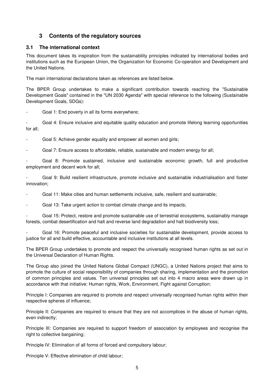# **3 Contents of the regulatory sources**

# **3.1 The international context**

This document takes its inspiration from the sustainability principles indicated by international bodies and institutions such as the European Union, the Organization for Economic Co-operation and Development and the United Nations.

The main international declarations taken as references are listed below.

The BPER Group undertakes to make a significant contribution towards reaching the "Sustainable Development Goals" contained in the "UN 2030 Agenda" with special reference to the following (Sustainable Development Goals, SDGs):

Goal 1: End poverty in all its forms everywhere;

Goal 4: Ensure inclusive and equitable quality education and promote lifelong learning opportunities for all;

Goal 5: Achieve gender equality and empower all women and girls;

Goal 7: Ensure access to affordable, reliable, sustainable and modern energy for all:

- Goal 8: Promote sustained, inclusive and sustainable economic growth, full and productive employment and decent work for all;

Goal 9: Build resilient infrastructure, promote inclusive and sustainable industrialisation and foster innovation;

- Goal 11: Make cities and human settlements inclusive, safe, resilient and sustainable;

Goal 13: Take urgent action to combat climate change and its impacts;

- Goal 15: Protect, restore and promote sustainable use of terrestrial ecosystems, sustainably manage forests, combat desertification and halt and reverse land degradation and halt biodiversity loss;

Goal 16: Promote peaceful and inclusive societies for sustainable development, provide access to justice for all and build effective, accountable and inclusive institutions at all levels.

The BPER Group undertakes to promote and respect the universally recognised human rights as set out in the Universal Declaration of Human Rights.

The Group also joined the United Nations Global Compact (UNGC), a United Nations project that aims to promote the culture of social responsibility of companies through sharing, implementation and the promotion of common principles and values. Ten universal principles set out into 4 macro areas were drawn up in accordance with that initiative: Human rights, Work, Environment, Fight against Corruption:

Principle I: Companies are required to promote and respect universally recognised human rights within their respective spheres of influence;

Principle II: Companies are required to ensure that they are not accomplices in the abuse of human rights, even indirectly;

Principle III: Companies are required to support freedom of association by employees and recognise the right to collective bargaining;

Principle IV: Elimination of all forms of forced and compulsory labour;

Principle V: Effective elimination of child labour;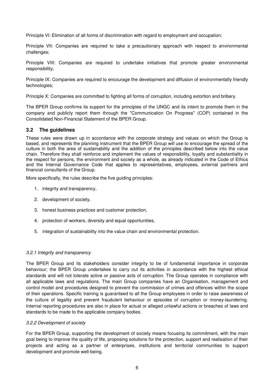Principle VI: Elimination of all forms of discrimination with regard to employment and occupation;

Principle VII: Companies are required to take a precautionary approach with respect to environmental challenges;

Principle VIII: Companies are required to undertake initiatives that promote greater environmental responsibility;

Principle IX: Companies are required to encourage the development and diffusion of environmentally friendly technologies;

Principle X: Companies are committed to fighting all forms of corruption, including extortion and bribery.

The BPER Group confirms its support for the principles of the UNGC and its intent to promote them in the company and publicly report them through the "Communication On Progress" (COP) contained in the Consolidated Non-Financial Statement of the BPER Group.

## **3.2 The guidelines**

These rules were drawn up in accordance with the corporate strategy and values on which the Group is based, and represents the planning instrument that the BPER Group will use to encourage the spread of the culture in both the area of sustainability and the addition of the principles described below into the value chain. Therefore they shall reinforce and implement the values of responsibility, loyalty and substantiality in the respect for persons, the environment and society as a whole, as already indicated in the Code of Ethics and the Internal Governance Code that applies to representatives, employees, external partners and financial consultants of the Group.

More specifically, the rules describe the five guiding principles:

- 1. integrity and transparency,
- 2. development of society,
- 3. honest business practices and customer protection,
- 4. protection of workers, diversity and equal opportunities,
- 5. integration of sustainability into the value chain and environmental protection.

#### 3.2.1 Integrity and transparency

The BPER Group and its stakeholders consider integrity to be of fundamental importance in corporate behaviour; the BPER Group undertakes to carry out its activities in accordance with the highest ethical standards and will not tolerate active or passive acts of corruption. The Group operates in compliance with all applicable laws and regulations. The main Group companies have an Organisation, management and control model and procedures designed to prevent the commission of crimes and offences within the scope of their operations. Specific training is guaranteed to all the Group employees in order to raise awareness of the culture of legality and prevent fraudulent behaviour or episodes of corruption or money-laundering. Internal reporting procedures are also in place for actual or alleged unlawful actions or breaches of laws and standards to be made to the applicable company bodies.

#### 3.2.2 Development of society

For the BPER Group, supporting the development of society means focusing its commitment, with the main goal being to improve the quality of life, proposing solutions for the protection, support and realisation of their projects and acting as a partner of enterprises, institutions and territorial communities to support development and promote well-being.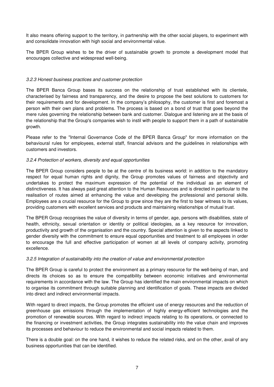It also means offering support to the territory, in partnership with the other social players, to experiment with and consolidate innovation with high social and environmental value.

The BPER Group wishes to be the driver of sustainable growth to promote a development model that encourages collective and widespread well-being.

## 3.2.3 Honest business practices and customer protection

The BPER Banca Group bases its success on the relationship of trust established with its clientele, characterised by fairness and transparency, and the desire to propose the best solutions to customers for their requirements and for development. In the company's philosophy, the customer is first and foremost a person with their own plans and problems. The process is based on a bond of trust that goes beyond the mere rules governing the relationship between bank and customer. Dialogue and listening are at the basis of the relationship that the Group's companies wish to instil with people to support them in a path of sustainable growth.

Please refer to the "Internal Governance Code of the BPER Banca Group" for more information on the behavioural rules for employees, external staff, financial advisors and the guidelines in relationships with customers and investors.

## 3.2.4 Protection of workers, diversity and equal opportunities

The BPER Group considers people to be at the centre of its business world: in addition to the mandatory respect for equal human rights and dignity, the Group promotes values of fairness and objectivity and undertakes to protect the maximum expression of the potential of the individual as an element of distinctiveness. It has always paid great attention to the Human Resources and is directed in particular to the realisation of routes aimed at enhancing the value and developing the professional and personal skills. Employees are a crucial resource for the Group to grow since they are the first to bear witness to its values, providing customers with excellent services and products and maintaining relationships of mutual trust.

The BPER Group recognises the value of diversity in terms of gender, age, persons with disabilities, state of health, ethnicity, sexual orientation or identity or political ideologies, as a key resource for innovation, productivity and growth of the organisation and the country. Special attention is given to the aspects linked to gender diversity with the commitment to ensure equal opportunities and treatment to all employees in order to encourage the full and effective participation of women at all levels of company activity, promoting excellence.

## 3.2.5 Integration of sustainability into the creation of value and environmental protection

The BPER Group is careful to protect the environment as a primary resource for the well-being of man, and directs its choices so as to ensure the compatibility between economic initiatives and environmental requirements in accordance with the law. The Group has identified the main environmental impacts on which to organise its commitment through suitable planning and identification of goals. These impacts are divided into direct and indirect environmental impacts.

With regard to direct impacts, the Group promotes the efficient use of energy resources and the reduction of greenhouse gas emissions through the implementation of highly energy-efficient technologies and the promotion of renewable sources. With regard to indirect impacts relating to its operations, or connected to the financing or investment activities, the Group integrates sustainability into the value chain and improves its processes and behaviour to reduce the environmental and social impacts related to them.

There is a double goal: on the one hand, it wishes to reduce the related risks, and on the other, avail of any business opportunities that can be identified.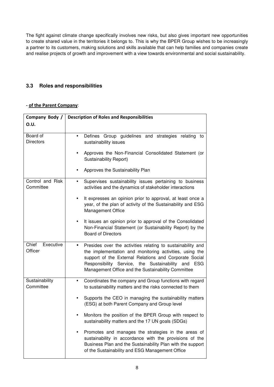The fight against climate change specifically involves new risks, but also gives important new opportunities to create shared value in the territories it belongs to. This is why the BPER Group wishes to be increasingly a partner to its customers, making solutions and skills available that can help families and companies create and realise projects of growth and improvement with a view towards environmental and social sustainability.

# **3.3 Roles and responsibilities**

## **- of the Parent Company**:

| Company Body /                | <b>Description of Roles and Responsibilities</b>                                                                                                                                                                                                                                                |  |  |  |  |  |  |
|-------------------------------|-------------------------------------------------------------------------------------------------------------------------------------------------------------------------------------------------------------------------------------------------------------------------------------------------|--|--|--|--|--|--|
| 0.U.                          |                                                                                                                                                                                                                                                                                                 |  |  |  |  |  |  |
|                               |                                                                                                                                                                                                                                                                                                 |  |  |  |  |  |  |
| Board of<br><b>Directors</b>  | Defines Group guidelines and strategies relating<br>to<br>sustainability issues                                                                                                                                                                                                                 |  |  |  |  |  |  |
|                               | Approves the Non-Financial Consolidated Statement (or<br>Sustainability Report)                                                                                                                                                                                                                 |  |  |  |  |  |  |
|                               | Approves the Sustainability Plan                                                                                                                                                                                                                                                                |  |  |  |  |  |  |
| Control and Risk<br>Committee | Supervises sustainability issues pertaining to business<br>$\bullet$<br>activities and the dynamics of stakeholder interactions                                                                                                                                                                 |  |  |  |  |  |  |
|                               | It expresses an opinion prior to approval, at least once a<br>$\bullet$<br>year, of the plan of activity of the Sustainability and ESG<br><b>Management Office</b>                                                                                                                              |  |  |  |  |  |  |
|                               | It issues an opinion prior to approval of the Consolidated<br>Non-Financial Statement (or Sustainability Report) by the<br><b>Board of Directors</b>                                                                                                                                            |  |  |  |  |  |  |
| Chief<br>Executive<br>Officer | Presides over the activities relating to sustainability and<br>the implementation and monitoring activities, using the<br>support of the External Relations and Corporate Social<br>Responsibility Service, the Sustainability<br>and ESG<br>Management Office and the Sustainability Committee |  |  |  |  |  |  |
| Sustainability<br>Committee   | Coordinates the company and Group functions with regard<br>$\bullet$<br>to sustainability matters and the risks connected to them                                                                                                                                                               |  |  |  |  |  |  |
|                               | Supports the CEO in managing the sustainability matters<br>(ESG) at both Parent Company and Group level                                                                                                                                                                                         |  |  |  |  |  |  |
|                               | Monitors the position of the BPER Group with respect to<br>sustainability matters and the 17 UN goals (SDGs)                                                                                                                                                                                    |  |  |  |  |  |  |
|                               | Promotes and manages the strategies in the areas of<br>sustainability in accordance with the provisions of the<br>Business Plan and the Sustainability Plan with the support<br>of the Sustainability and ESG Management Office                                                                 |  |  |  |  |  |  |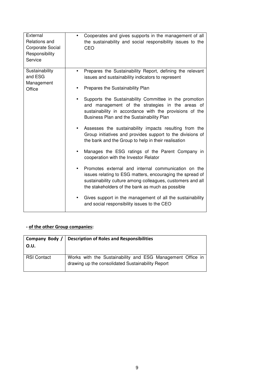| External<br>Relations and<br><b>Corporate Social</b><br>Responsibility<br>Service | Cooperates and gives supports in the management of all<br>the sustainability and social responsibility issues to the<br>CEO                                                                                                        |
|-----------------------------------------------------------------------------------|------------------------------------------------------------------------------------------------------------------------------------------------------------------------------------------------------------------------------------|
| Sustainability<br>and ESG<br>Management                                           | Prepares the Sustainability Report, defining the relevant<br>$\bullet$<br>issues and sustainability indicators to represent                                                                                                        |
| Office                                                                            | Prepares the Sustainability Plan                                                                                                                                                                                                   |
|                                                                                   | Supports the Sustainability Committee in the promotion<br>and management of the strategies in the areas of<br>sustainability in accordance with the provisions of the<br>Business Plan and the Sustainability Plan                 |
|                                                                                   | Assesses the sustainability impacts resulting from the<br>Group initiatives and provides support to the divisions of<br>the bank and the Group to help in their realisation                                                        |
|                                                                                   | Manages the ESG ratings of the Parent Company in<br>cooperation with the Investor Relator                                                                                                                                          |
|                                                                                   | Promotes external and internal communication on the<br>issues relating to ESG matters, encouraging the spread of<br>sustainability culture among colleagues, customers and all<br>the stakeholders of the bank as much as possible |
|                                                                                   | Gives support in the management of all the sustainability<br>and social responsibility issues to the CEO                                                                                                                           |

# **- of the other Group companies:**

| Company Body /<br>O.U. | <b>Description of Roles and Responsibilities</b>                                                                |
|------------------------|-----------------------------------------------------------------------------------------------------------------|
| <b>RSI Contact</b>     | Works with the Sustainability and ESG Management Office in<br>drawing up the consolidated Sustainability Report |